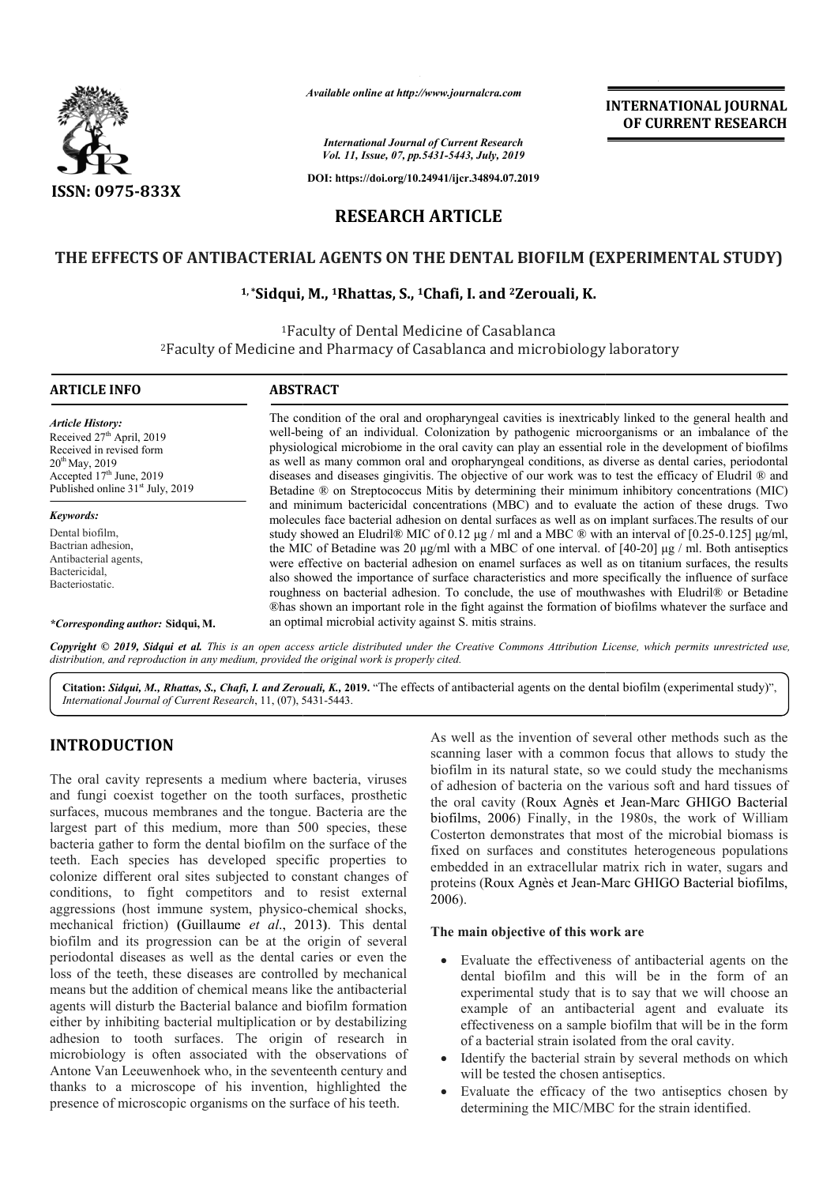

*Available online at http://www.journalcra.com*

# **INTERNATIONAL JOURNAL OF CURRENT RESEARCH**

# **RESEARCH ARTICLE**

# **THE EFFECTS OF ANTIBACTERIAL AGENTS ON THE DENTAL BIOFILM (EXPERIMENTAL STUDY)**

## **1, \*Sidqui, M., Sidqui, 1Rhattas, S., 1Chafi, I. and 2Zerouali, K.**

|                                                                                                                                                                                                                                                                                                                                                                                                                                                                                                                                                                                                                                                              |                                                                                                                                                                                                                                                                                                                                                                                                                                                                                                                                                                                                                                                                                                                                                                                                                                                                                                                                                                                                                                                                                                                                                                                                                                                                                                                                                                                                                                                                                          | unuvic vinnic ur nup.//www.jvurnuicru.com<br><b>INTERNATIONAL JOURNAL</b><br>OF CURRENT RESEARCH                                                                                                                                                                                                                                                                                                                                                                                                                                                                                           |
|--------------------------------------------------------------------------------------------------------------------------------------------------------------------------------------------------------------------------------------------------------------------------------------------------------------------------------------------------------------------------------------------------------------------------------------------------------------------------------------------------------------------------------------------------------------------------------------------------------------------------------------------------------------|------------------------------------------------------------------------------------------------------------------------------------------------------------------------------------------------------------------------------------------------------------------------------------------------------------------------------------------------------------------------------------------------------------------------------------------------------------------------------------------------------------------------------------------------------------------------------------------------------------------------------------------------------------------------------------------------------------------------------------------------------------------------------------------------------------------------------------------------------------------------------------------------------------------------------------------------------------------------------------------------------------------------------------------------------------------------------------------------------------------------------------------------------------------------------------------------------------------------------------------------------------------------------------------------------------------------------------------------------------------------------------------------------------------------------------------------------------------------------------------|--------------------------------------------------------------------------------------------------------------------------------------------------------------------------------------------------------------------------------------------------------------------------------------------------------------------------------------------------------------------------------------------------------------------------------------------------------------------------------------------------------------------------------------------------------------------------------------------|
|                                                                                                                                                                                                                                                                                                                                                                                                                                                                                                                                                                                                                                                              |                                                                                                                                                                                                                                                                                                                                                                                                                                                                                                                                                                                                                                                                                                                                                                                                                                                                                                                                                                                                                                                                                                                                                                                                                                                                                                                                                                                                                                                                                          | <b>International Journal of Current Research</b><br>Vol. 11, Issue, 07, pp.5431-5443, July, 2019                                                                                                                                                                                                                                                                                                                                                                                                                                                                                           |
| <b>ISSN: 0975-833X</b>                                                                                                                                                                                                                                                                                                                                                                                                                                                                                                                                                                                                                                       |                                                                                                                                                                                                                                                                                                                                                                                                                                                                                                                                                                                                                                                                                                                                                                                                                                                                                                                                                                                                                                                                                                                                                                                                                                                                                                                                                                                                                                                                                          | DOI: https://doi.org/10.24941/ijcr.34894.07.2019                                                                                                                                                                                                                                                                                                                                                                                                                                                                                                                                           |
|                                                                                                                                                                                                                                                                                                                                                                                                                                                                                                                                                                                                                                                              | <b>RESEARCH ARTICLE</b>                                                                                                                                                                                                                                                                                                                                                                                                                                                                                                                                                                                                                                                                                                                                                                                                                                                                                                                                                                                                                                                                                                                                                                                                                                                                                                                                                                                                                                                                  |                                                                                                                                                                                                                                                                                                                                                                                                                                                                                                                                                                                            |
|                                                                                                                                                                                                                                                                                                                                                                                                                                                                                                                                                                                                                                                              |                                                                                                                                                                                                                                                                                                                                                                                                                                                                                                                                                                                                                                                                                                                                                                                                                                                                                                                                                                                                                                                                                                                                                                                                                                                                                                                                                                                                                                                                                          | THE EFFECTS OF ANTIBACTERIAL AGENTS ON THE DENTAL BIOFILM (EXPERIMENTAL STUDY)                                                                                                                                                                                                                                                                                                                                                                                                                                                                                                             |
|                                                                                                                                                                                                                                                                                                                                                                                                                                                                                                                                                                                                                                                              |                                                                                                                                                                                                                                                                                                                                                                                                                                                                                                                                                                                                                                                                                                                                                                                                                                                                                                                                                                                                                                                                                                                                                                                                                                                                                                                                                                                                                                                                                          | <sup>1,*</sup> Sidqui, M., <sup>1</sup> Rhattas, S., <sup>1</sup> Chafi, I. and <sup>2</sup> Zerouali, K.                                                                                                                                                                                                                                                                                                                                                                                                                                                                                  |
|                                                                                                                                                                                                                                                                                                                                                                                                                                                                                                                                                                                                                                                              | <sup>1</sup> Faculty of Dental Medicine of Casablanca                                                                                                                                                                                                                                                                                                                                                                                                                                                                                                                                                                                                                                                                                                                                                                                                                                                                                                                                                                                                                                                                                                                                                                                                                                                                                                                                                                                                                                    |                                                                                                                                                                                                                                                                                                                                                                                                                                                                                                                                                                                            |
|                                                                                                                                                                                                                                                                                                                                                                                                                                                                                                                                                                                                                                                              |                                                                                                                                                                                                                                                                                                                                                                                                                                                                                                                                                                                                                                                                                                                                                                                                                                                                                                                                                                                                                                                                                                                                                                                                                                                                                                                                                                                                                                                                                          | <sup>2</sup> Faculty of Medicine and Pharmacy of Casablanca and microbiology laboratory                                                                                                                                                                                                                                                                                                                                                                                                                                                                                                    |
| <b>ARTICLE INFO</b>                                                                                                                                                                                                                                                                                                                                                                                                                                                                                                                                                                                                                                          | <b>ABSTRACT</b>                                                                                                                                                                                                                                                                                                                                                                                                                                                                                                                                                                                                                                                                                                                                                                                                                                                                                                                                                                                                                                                                                                                                                                                                                                                                                                                                                                                                                                                                          |                                                                                                                                                                                                                                                                                                                                                                                                                                                                                                                                                                                            |
| <b>Article History:</b><br>Received 27 <sup>th</sup> April, 2019<br>Received in revised form<br>$20^{th}$ May, 2019<br>Accepted 17th June, 2019<br>Published online 31 <sup>st</sup> July, 2019                                                                                                                                                                                                                                                                                                                                                                                                                                                              | The condition of the oral and oropharyngeal cavities is inextricably linked to the general health and<br>well-being of an individual. Colonization by pathogenic microorganisms or an imbalance of the<br>physiological microbiome in the oral cavity can play an essential role in the development of biofilms<br>as well as many common oral and oropharyngeal conditions, as diverse as dental caries, periodontal<br>diseases and diseases gingivitis. The objective of our work was to test the efficacy of Eludril ® and<br>Betadine ® on Streptococcus Mitis by determining their minimum inhibitory concentrations (MIC)<br>and minimum bactericidal concentrations (MBC) and to evaluate the action of these drugs. Two<br>molecules face bacterial adhesion on dental surfaces as well as on implant surfaces. The results of our<br>study showed an Eludril® MIC of 0.12 µg / ml and a MBC ® with an interval of [0.25-0.125] µg/ml,<br>the MIC of Betadine was 20 $\mu$ g/ml with a MBC of one interval. of [40-20] $\mu$ g / ml. Both antiseptics<br>were effective on bacterial adhesion on enamel surfaces as well as on titanium surfaces, the results<br>also showed the importance of surface characteristics and more specifically the influence of surface<br>roughness on bacterial adhesion. To conclude, the use of mouthwashes with Eludril® or Betadine<br>®has shown an important role in the fight against the formation of biofilms whatever the surface and |                                                                                                                                                                                                                                                                                                                                                                                                                                                                                                                                                                                            |
| Keywords:<br>Dental biofilm,<br>Bactrian adhesion,<br>Antibacterial agents,<br>Bactericidal,<br>Bacteriostatic.                                                                                                                                                                                                                                                                                                                                                                                                                                                                                                                                              |                                                                                                                                                                                                                                                                                                                                                                                                                                                                                                                                                                                                                                                                                                                                                                                                                                                                                                                                                                                                                                                                                                                                                                                                                                                                                                                                                                                                                                                                                          |                                                                                                                                                                                                                                                                                                                                                                                                                                                                                                                                                                                            |
| *Corresponding author: Sidqui, M.                                                                                                                                                                                                                                                                                                                                                                                                                                                                                                                                                                                                                            | an optimal microbial activity against S. mitis strains.                                                                                                                                                                                                                                                                                                                                                                                                                                                                                                                                                                                                                                                                                                                                                                                                                                                                                                                                                                                                                                                                                                                                                                                                                                                                                                                                                                                                                                  | Copyright © 2019, Sidqui et al. This is an open access article distributed under the Creative Commons Attribution License, which permits unrestricted use,                                                                                                                                                                                                                                                                                                                                                                                                                                 |
| distribution, and reproduction in any medium, provided the original work is properly cited.                                                                                                                                                                                                                                                                                                                                                                                                                                                                                                                                                                  |                                                                                                                                                                                                                                                                                                                                                                                                                                                                                                                                                                                                                                                                                                                                                                                                                                                                                                                                                                                                                                                                                                                                                                                                                                                                                                                                                                                                                                                                                          |                                                                                                                                                                                                                                                                                                                                                                                                                                                                                                                                                                                            |
| International Journal of Current Research, 11, (07), 5431-5443.                                                                                                                                                                                                                                                                                                                                                                                                                                                                                                                                                                                              |                                                                                                                                                                                                                                                                                                                                                                                                                                                                                                                                                                                                                                                                                                                                                                                                                                                                                                                                                                                                                                                                                                                                                                                                                                                                                                                                                                                                                                                                                          | Citation: Sidqui, M., Rhattas, S., Chafi, I. and Zerouali, K., 2019. "The effects of antibacterial agents on the dental biofilm (experimental study)",                                                                                                                                                                                                                                                                                                                                                                                                                                     |
| <b>INTRODUCTION</b>                                                                                                                                                                                                                                                                                                                                                                                                                                                                                                                                                                                                                                          |                                                                                                                                                                                                                                                                                                                                                                                                                                                                                                                                                                                                                                                                                                                                                                                                                                                                                                                                                                                                                                                                                                                                                                                                                                                                                                                                                                                                                                                                                          | As well as the invention of several other methods such as the<br>scanning laser with a common focus that allows to study the                                                                                                                                                                                                                                                                                                                                                                                                                                                               |
| The oral cavity represents a medium where bacteria, viruses<br>and fungi coexist together on the tooth surfaces, prosthetic<br>surfaces, mucous membranes and the tongue. Bacteria are the<br>largest part of this medium, more than 500 species, these<br>bacteria gather to form the dental biofilm on the surface of the<br>teeth. Each species has developed specific properties to<br>colonize different oral sites subjected to constant changes of<br>conditions, to fight competitors and to resist external<br>aggressions (host immune system, physico-chemical shocks,<br>mechanical friction) (Guillaume et al., 2013). This dental              |                                                                                                                                                                                                                                                                                                                                                                                                                                                                                                                                                                                                                                                                                                                                                                                                                                                                                                                                                                                                                                                                                                                                                                                                                                                                                                                                                                                                                                                                                          | biofilm in its natural state, so we could study the mechanisms<br>of adhesion of bacteria on the various soft and hard tissues of<br>the oral cavity (Roux Agnès et Jean-Marc GHIGO Bacterial<br>biofilms, 2006) Finally, in the 1980s, the work of William<br>Costerton demonstrates that most of the microbial biomass is<br>fixed on surfaces and constitutes heterogeneous populations<br>embedded in an extracellular matrix rich in water, sugars and<br>proteins (Roux Agnès et Jean-Marc GHIGO Bacterial biofilms,<br>2006).                                                       |
| biofilm and its progression can be at the origin of several                                                                                                                                                                                                                                                                                                                                                                                                                                                                                                                                                                                                  |                                                                                                                                                                                                                                                                                                                                                                                                                                                                                                                                                                                                                                                                                                                                                                                                                                                                                                                                                                                                                                                                                                                                                                                                                                                                                                                                                                                                                                                                                          | The main objective of this work are                                                                                                                                                                                                                                                                                                                                                                                                                                                                                                                                                        |
| periodontal diseases as well as the dental caries or even the<br>loss of the teeth, these diseases are controlled by mechanical<br>means but the addition of chemical means like the antibacterial<br>agents will disturb the Bacterial balance and biofilm formation<br>either by inhibiting bacterial multiplication or by destabilizing<br>adhesion to tooth surfaces. The origin of research in<br>microbiology is often associated with the observations of<br>Antone Van Leeuwenhoek who, in the seventeenth century and<br>thanks to a microscope of his invention, highlighted the<br>presence of microscopic organisms on the surface of his teeth. |                                                                                                                                                                                                                                                                                                                                                                                                                                                                                                                                                                                                                                                                                                                                                                                                                                                                                                                                                                                                                                                                                                                                                                                                                                                                                                                                                                                                                                                                                          | Evaluate the effectiveness of antibacterial agents on the<br>dental biofilm and this will be in the form of an<br>experimental study that is to say that we will choose an<br>example of an antibacterial agent and evaluate its<br>effectiveness on a sample biofilm that will be in the form<br>of a bacterial strain isolated from the oral cavity.<br>Identify the bacterial strain by several methods on which<br>will be tested the chosen antiseptics.<br>Evaluate the efficacy of the two antiseptics chosen by<br>$\bullet$<br>determining the MIC/MBC for the strain identified. |

## **INTRODUCTION**

#### **The main objective of this work are**

- Evaluate the effectiveness of antibacterial agents on the Evaluate the effectiveness of antibacterial agents on the dental biofilm and this will be in the form of an experimental study that is to say that we will choose an example of an antibacterial agent and evaluate its effectiveness on a sample biofilm that will be in the form of a bacterial strain isolated from the oral cavity. experimental study that is to say that we will choose an example of an antibacterial agent and evaluate its effectiveness on a sample biofilm that will be in the form of a bacterial strain isolated from the oral cavity.<br>Id
- Identify the bacterial strain by several methods on which will be tested the chosen antiseptics.
- Evaluate the efficacy of the two antiseptics chosen by determining the MIC/MBC for the strain identified.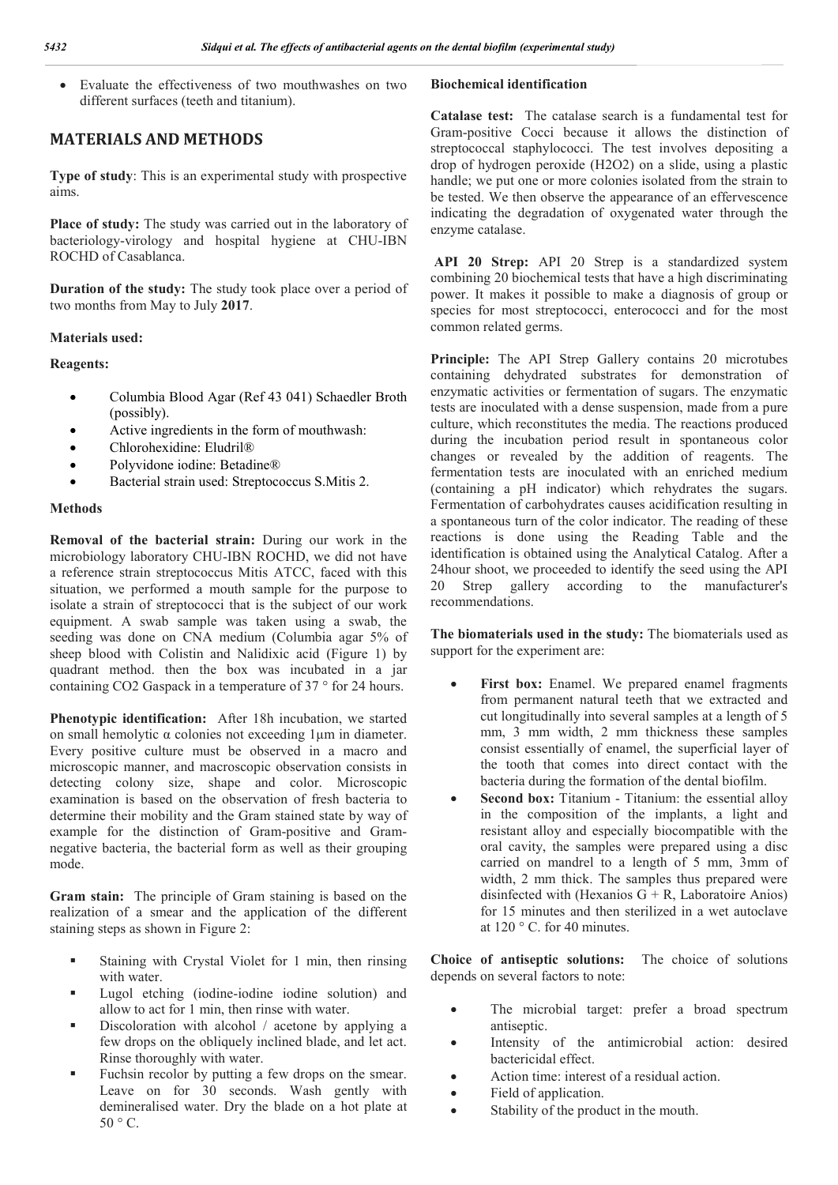Evaluate the effectiveness of two mouthwashes on two different surfaces (teeth and titanium).

# **MATERIALS AND METHODS**

**Type of study**: This is an experimental study with prospective aims.

**Place of study:** The study was carried out in the laboratory of bacteriology-virology and hospital hygiene at CHU-IBN ROCHD of Casablanca.

**Duration of the study:** The study took place over a period of two months from May to July **2017**.

### **Materials used:**

**Reagents:**

- Columbia Blood Agar (Ref 43 041) Schaedler Broth (possibly).
- Active ingredients in the form of mouthwash:
- Chlorohexidine: Eludril®
- Polyvidone iodine: Betadine®
- Bacterial strain used: Streptococcus S.Mitis 2.

#### **Methods**

**Removal of the bacterial strain:** During our work in the microbiology laboratory CHU-IBN ROCHD, we did not have a reference strain streptococcus Mitis ATCC, faced with this situation, we performed a mouth sample for the purpose to isolate a strain of streptococci that is the subject of our work equipment. A swab sample was taken using a swab, the seeding was done on CNA medium (Columbia agar 5% of sheep blood with Colistin and Nalidixic acid (Figure 1) by quadrant method. then the box was incubated in a jar containing CO2 Gaspack in a temperature of 37 ° for 24 hours.

**Phenotypic identification:** After 18h incubation, we started on small hemolytic α colonies not exceeding 1μm in diameter. Every positive culture must be observed in a macro and microscopic manner, and macroscopic observation consists in detecting colony size, shape and color. Microscopic examination is based on the observation of fresh bacteria to determine their mobility and the Gram stained state by way of example for the distinction of Gram-positive and Gramnegative bacteria, the bacterial form as well as their grouping mode.

**Gram stain:** The principle of Gram staining is based on the realization of a smear and the application of the different staining steps as shown in Figure 2:

- Staining with Crystal Violet for 1 min, then rinsing with water.
- Lugol etching (iodine-iodine iodine solution) and allow to act for 1 min, then rinse with water.
- Discoloration with alcohol / acetone by applying a few drops on the obliquely inclined blade, and let act. Rinse thoroughly with water.
- Fuchsin recolor by putting a few drops on the smear. Leave on for 30 seconds. Wash gently with demineralised water. Dry the blade on a hot plate at  $50 \degree C$ .

### **Biochemical identification**

**Catalase test:** The catalase search is a fundamental test for Gram-positive Cocci because it allows the distinction of streptococcal staphylococci. The test involves depositing a drop of hydrogen peroxide (H2O2) on a slide, using a plastic handle; we put one or more colonies isolated from the strain to be tested. We then observe the appearance of an effervescence indicating the degradation of oxygenated water through the enzyme catalase.

**API 20 Strep:** API 20 Strep is a standardized system combining 20 biochemical tests that have a high discriminating power. It makes it possible to make a diagnosis of group or species for most streptococci, enterococci and for the most common related germs.

**Principle:** The API Strep Gallery contains 20 microtubes containing dehydrated substrates for demonstration of enzymatic activities or fermentation of sugars. The enzymatic tests are inoculated with a dense suspension, made from a pure culture, which reconstitutes the media. The reactions produced during the incubation period result in spontaneous color changes or revealed by the addition of reagents. The fermentation tests are inoculated with an enriched medium (containing a pH indicator) which rehydrates the sugars. Fermentation of carbohydrates causes acidification resulting in a spontaneous turn of the color indicator. The reading of these reactions is done using the Reading Table and the identification is obtained using the Analytical Catalog. After a 24hour shoot, we proceeded to identify the seed using the API 20 Strep gallery according to the manufacturer's recommendations.

**The biomaterials used in the study:** The biomaterials used as support for the experiment are:

- **First box:** Enamel. We prepared enamel fragments from permanent natural teeth that we extracted and cut longitudinally into several samples at a length of 5 mm, 3 mm width, 2 mm thickness these samples consist essentially of enamel, the superficial layer of the tooth that comes into direct contact with the bacteria during the formation of the dental biofilm.
- **Second box:** Titanium Titanium: the essential alloy in the composition of the implants, a light and resistant alloy and especially biocompatible with the oral cavity, the samples were prepared using a disc carried on mandrel to a length of 5 mm, 3mm of width, 2 mm thick. The samples thus prepared were disinfected with (Hexanios  $G + R$ , Laboratoire Anios) for 15 minutes and then sterilized in a wet autoclave at 120 ° C. for 40 minutes.

**Choice of antiseptic solutions:** The choice of solutions depends on several factors to note:

- The microbial target: prefer a broad spectrum antiseptic.
- Intensity of the antimicrobial action: desired bactericidal effect.
- Action time: interest of a residual action.
- Field of application.
- Stability of the product in the mouth.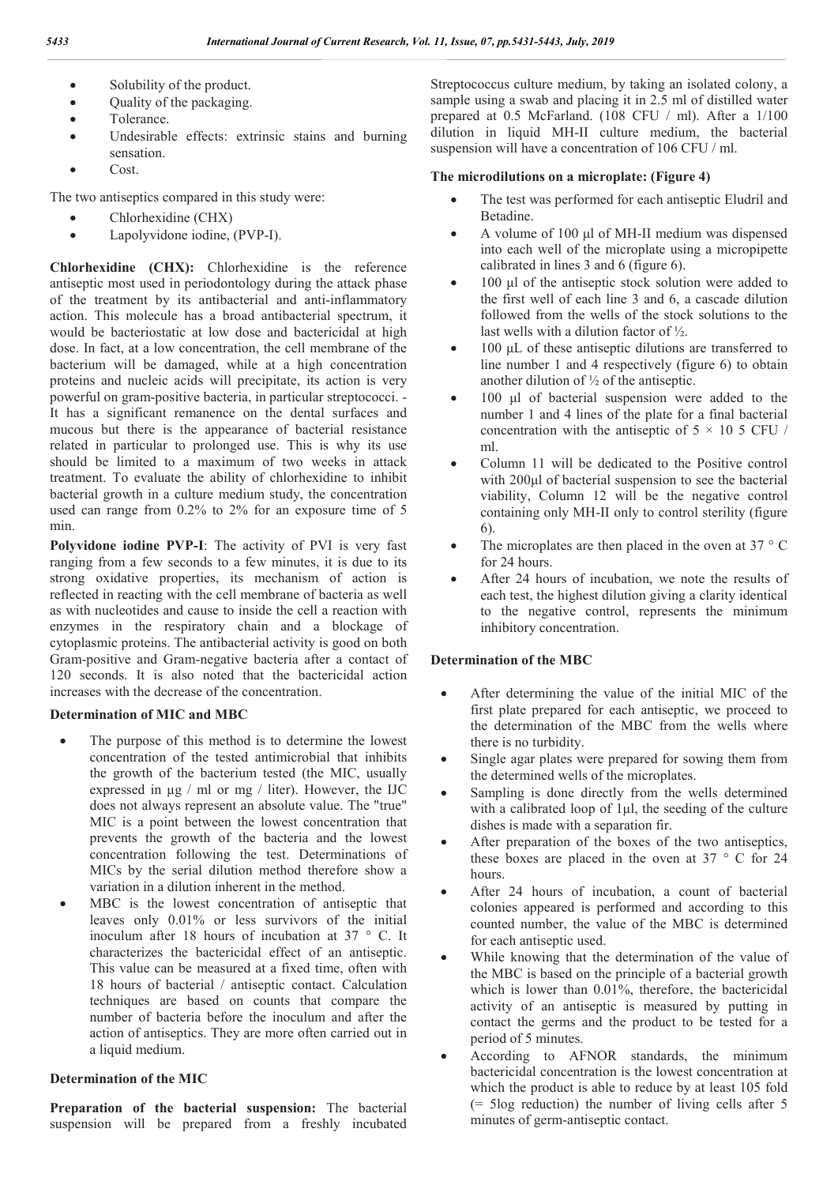- Solubility of the product.
- Ouality of the packaging.
- Tolerance
- Undesirable effects: extrinsic stains and burning sensation.
- Cost.

The two antiseptics compared in this study were:

- Chlorhexidine (CHX)
- Lapolyvidone iodine, (PVP-I).

**Chlorhexidine (CHX):** Chlorhexidine is the reference antiseptic most used in periodontology during the attack phase of the treatment by its antibacterial and anti-inflammatory action. This molecule has a broad antibacterial spectrum, it would be bacteriostatic at low dose and bactericidal at high dose. In fact, at a low concentration, the cell membrane of the bacterium will be damaged, while at a high concentration proteins and nucleic acids will precipitate, its action is very powerful on gram-positive bacteria, in particular streptococci. - It has a significant remanence on the dental surfaces and mucous but there is the appearance of bacterial resistance related in particular to prolonged use. This is why its use should be limited to a maximum of two weeks in attack treatment. To evaluate the ability of chlorhexidine to inhibit bacterial growth in a culture medium study, the concentration used can range from 0.2% to 2% for an exposure time of 5 min.

**Polyvidone iodine PVP-I**: The activity of PVI is very fast ranging from a few seconds to a few minutes, it is due to its strong oxidative properties, its mechanism of action is reflected in reacting with the cell membrane of bacteria as well as with nucleotides and cause to inside the cell a reaction with enzymes in the respiratory chain and a blockage of cytoplasmic proteins. The antibacterial activity is good on both Gram-positive and Gram-negative bacteria after a contact of 120 seconds. It is also noted that the bactericidal action increases with the decrease of the concentration.

## **Determination of MIC and MBC**

- The purpose of this method is to determine the lowest concentration of the tested antimicrobial that inhibits the growth of the bacterium tested (the MIC, usually expressed in μg / ml or mg / liter). However, the IJC does not always represent an absolute value. The "true" MIC is a point between the lowest concentration that prevents the growth of the bacteria and the lowest concentration following the test. Determinations of MICs by the serial dilution method therefore show a variation in a dilution inherent in the method.
- MBC is the lowest concentration of antiseptic that leaves only 0.01% or less survivors of the initial inoculum after 18 hours of incubation at 37 ° C. It characterizes the bactericidal effect of an antiseptic. This value can be measured at a fixed time, often with 18 hours of bacterial / antiseptic contact. Calculation techniques are based on counts that compare the number of bacteria before the inoculum and after the action of antiseptics. They are more often carried out in a liquid medium.

### **Determination of the MIC**

**Preparation of the bacterial suspension:** The bacterial suspension will be prepared from a freshly incubated Streptococcus culture medium, by taking an isolated colony, a sample using a swab and placing it in 2.5 ml of distilled water prepared at 0.5 McFarland. (108 CFU / ml). After a 1/100 dilution in liquid MH-II culture medium, the bacterial suspension will have a concentration of 106 CFU / ml.

## **The microdilutions on a microplate: (Figure 4)**

- The test was performed for each antiseptic Eludril and Betadine.
- A volume of 100 μl of MH-II medium was dispensed into each well of the microplate using a micropipette calibrated in lines 3 and 6 (figure 6).
- 100 μl of the antiseptic stock solution were added to the first well of each line 3 and 6, a cascade dilution followed from the wells of the stock solutions to the last wells with a dilution factor of ½.
- 100 μL of these antiseptic dilutions are transferred to line number 1 and 4 respectively (figure 6) to obtain another dilution of ½ of the antiseptic.
- 100 μl of bacterial suspension were added to the number 1 and 4 lines of the plate for a final bacterial concentration with the antiseptic of  $5 \times 10$  5 CFU / ml.
- Column 11 will be dedicated to the Positive control with 200μl of bacterial suspension to see the bacterial viability, Column 12 will be the negative control containing only MH-II only to control sterility (figure 6).
- The microplates are then placed in the oven at  $37 \degree$  C for 24 hours.
- After 24 hours of incubation, we note the results of each test, the highest dilution giving a clarity identical to the negative control, represents the minimum inhibitory concentration.

### **Determination of the MBC**

- After determining the value of the initial MIC of the first plate prepared for each antiseptic, we proceed to the determination of the MBC from the wells where there is no turbidity.
- Single agar plates were prepared for sowing them from the determined wells of the microplates.
- Sampling is done directly from the wells determined with a calibrated loop of 1μl, the seeding of the culture dishes is made with a separation fir.
- After preparation of the boxes of the two antiseptics, these boxes are placed in the oven at  $37 \degree$  C for 24 hours.
- After 24 hours of incubation, a count of bacterial colonies appeared is performed and according to this counted number, the value of the MBC is determined for each antiseptic used.
- While knowing that the determination of the value of the MBC is based on the principle of a bacterial growth which is lower than 0.01%, therefore, the bactericidal activity of an antiseptic is measured by putting in contact the germs and the product to be tested for a period of 5 minutes.
- According to AFNOR standards, the minimum bactericidal concentration is the lowest concentration at which the product is able to reduce by at least 105 fold (= 5log reduction) the number of living cells after 5 minutes of germ-antiseptic contact.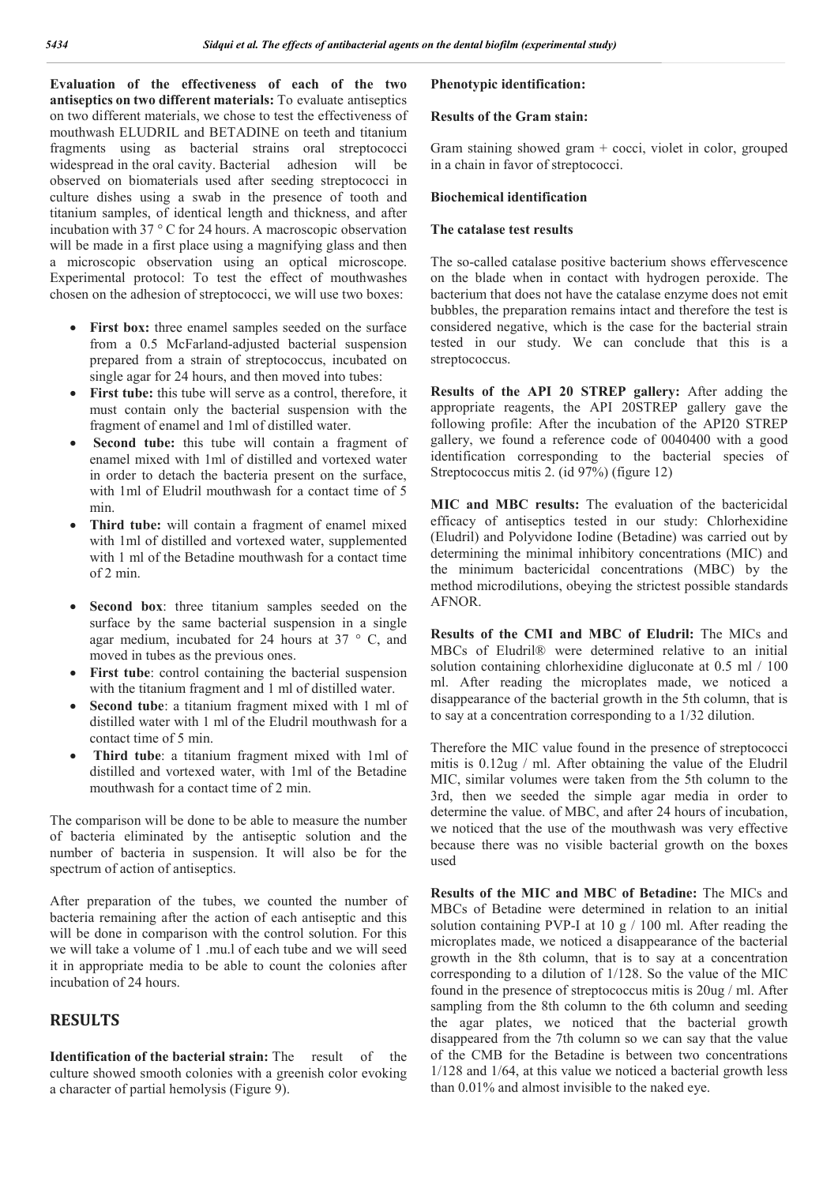**Evaluation of the effectiveness of each of the two antiseptics on two different materials:** To evaluate antiseptics on two different materials, we chose to test the effectiveness of mouthwash ELUDRIL and BETADINE on teeth and titanium fragments using as bacterial strains oral streptococci widespread in the oral cavity. Bacterial adhesion will be observed on biomaterials used after seeding streptococci in culture dishes using a swab in the presence of tooth and titanium samples, of identical length and thickness, and after incubation with 37 ° C for 24 hours. A macroscopic observation will be made in a first place using a magnifying glass and then a microscopic observation using an optical microscope. Experimental protocol: To test the effect of mouthwashes chosen on the adhesion of streptococci, we will use two boxes:

- **First box:** three enamel samples seeded on the surface from a 0.5 McFarland-adjusted bacterial suspension prepared from a strain of streptococcus, incubated on single agar for 24 hours, and then moved into tubes:
- **First tube:** this tube will serve as a control, therefore, it must contain only the bacterial suspension with the fragment of enamel and 1ml of distilled water.
- **Second tube:** this tube will contain a fragment of enamel mixed with 1ml of distilled and vortexed water in order to detach the bacteria present on the surface, with 1ml of Eludril mouthwash for a contact time of 5 min.
- **Third tube:** will contain a fragment of enamel mixed with 1ml of distilled and vortexed water, supplemented with 1 ml of the Betadine mouthwash for a contact time of 2 min.
- **Second box**: three titanium samples seeded on the surface by the same bacterial suspension in a single agar medium, incubated for 24 hours at 37  $\degree$  C, and moved in tubes as the previous ones.
- **First tube**: control containing the bacterial suspension with the titanium fragment and 1 ml of distilled water.
- **Second tube**: a titanium fragment mixed with 1 ml of distilled water with 1 ml of the Eludril mouthwash for a contact time of 5 min.
- **Third tube**: a titanium fragment mixed with 1ml of distilled and vortexed water, with 1ml of the Betadine mouthwash for a contact time of 2 min.

The comparison will be done to be able to measure the number of bacteria eliminated by the antiseptic solution and the number of bacteria in suspension. It will also be for the spectrum of action of antiseptics.

After preparation of the tubes, we counted the number of bacteria remaining after the action of each antiseptic and this will be done in comparison with the control solution. For this we will take a volume of 1 mu.l of each tube and we will seed it in appropriate media to be able to count the colonies after incubation of 24 hours.

# **RESULTS**

**Identification of the bacterial strain:** The result of the culture showed smooth colonies with a greenish color evoking a character of partial hemolysis (Figure 9).

### **Phenotypic identification:**

#### **Results of the Gram stain:**

Gram staining showed gram + cocci, violet in color, grouped in a chain in favor of streptococci.

#### **Biochemical identification**

#### **The catalase test results**

The so-called catalase positive bacterium shows effervescence on the blade when in contact with hydrogen peroxide. The bacterium that does not have the catalase enzyme does not emit bubbles, the preparation remains intact and therefore the test is considered negative, which is the case for the bacterial strain tested in our study. We can conclude that this is a streptococcus.

**Results of the API 20 STREP gallery:** After adding the appropriate reagents, the API 20STREP gallery gave the following profile: After the incubation of the API20 STREP gallery, we found a reference code of 0040400 with a good identification corresponding to the bacterial species of Streptococcus mitis 2. (id 97%) (figure 12)

**MIC and MBC results:** The evaluation of the bactericidal efficacy of antiseptics tested in our study: Chlorhexidine (Eludril) and Polyvidone Iodine (Betadine) was carried out by determining the minimal inhibitory concentrations (MIC) and the minimum bactericidal concentrations (MBC) by the method microdilutions, obeying the strictest possible standards AFNOR.

**Results of the CMI and MBC of Eludril:** The MICs and MBCs of Eludril® were determined relative to an initial solution containing chlorhexidine digluconate at 0.5 ml / 100 ml. After reading the microplates made, we noticed a disappearance of the bacterial growth in the 5th column, that is to say at a concentration corresponding to a 1/32 dilution.

Therefore the MIC value found in the presence of streptococci mitis is 0.12ug / ml. After obtaining the value of the Eludril MIC, similar volumes were taken from the 5th column to the 3rd, then we seeded the simple agar media in order to determine the value. of MBC, and after 24 hours of incubation, we noticed that the use of the mouthwash was very effective because there was no visible bacterial growth on the boxes used

**Results of the MIC and MBC of Betadine:** The MICs and MBCs of Betadine were determined in relation to an initial solution containing PVP-I at 10 g / 100 ml. After reading the microplates made, we noticed a disappearance of the bacterial growth in the 8th column, that is to say at a concentration corresponding to a dilution of 1/128. So the value of the MIC found in the presence of streptococcus mitis is 20ug / ml. After sampling from the 8th column to the 6th column and seeding the agar plates, we noticed that the bacterial growth disappeared from the 7th column so we can say that the value of the CMB for the Betadine is between two concentrations 1/128 and 1/64, at this value we noticed a bacterial growth less than 0.01% and almost invisible to the naked eye.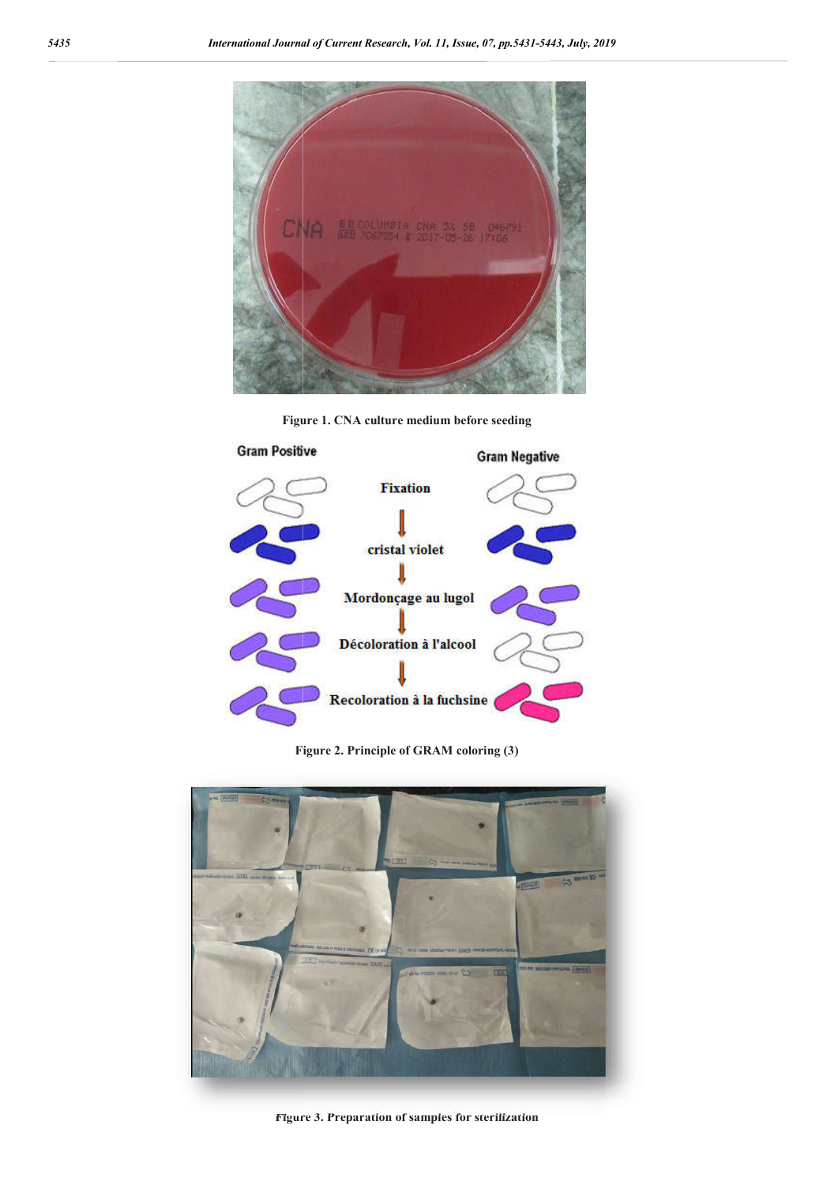

**Figure 1. CNA culture medium before seeding**



**Figure 2 2. Principle of GRAM coloring (3)**



**Figure 3 3. Preparation of samples for sterilization**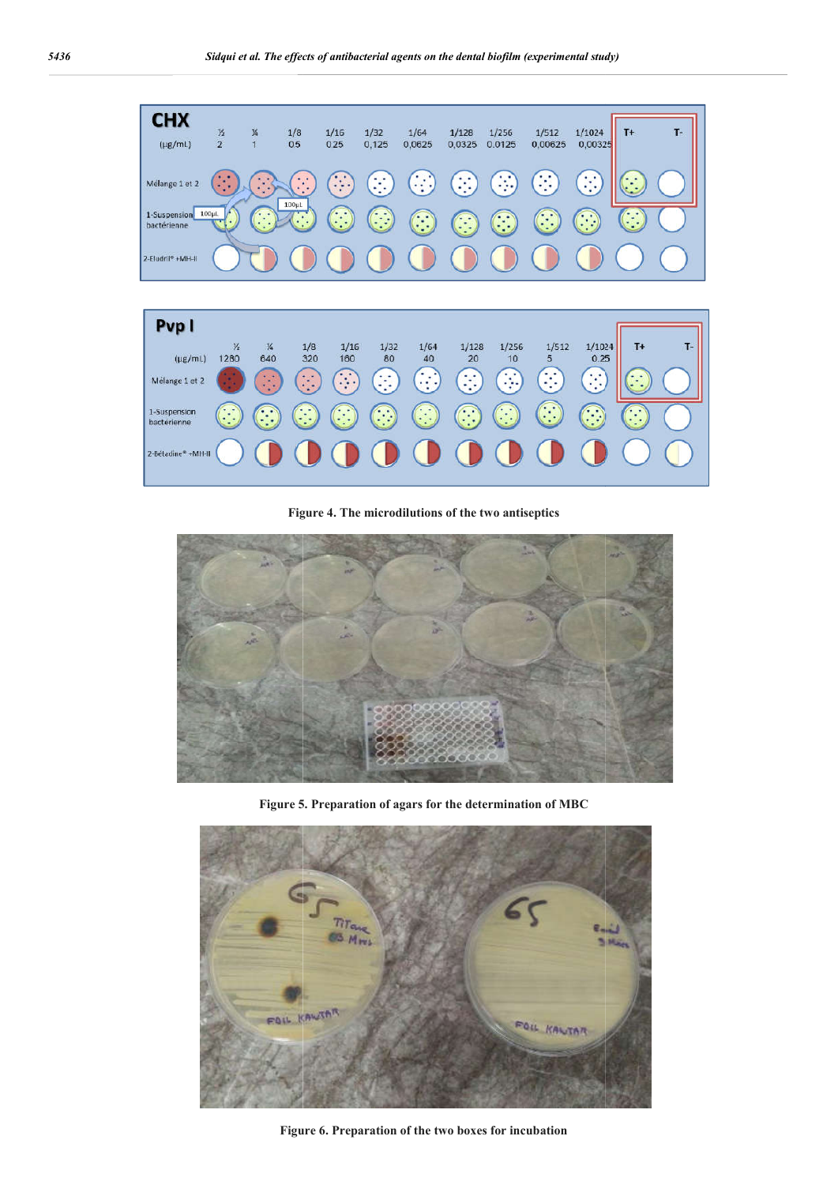

**Figure 4 4. The microdilutions of the two antiseptics**



**Figure 5. Preparation of agars for the determination of MBC**



**Figure 6 6. Preparation of the two boxes for incubation**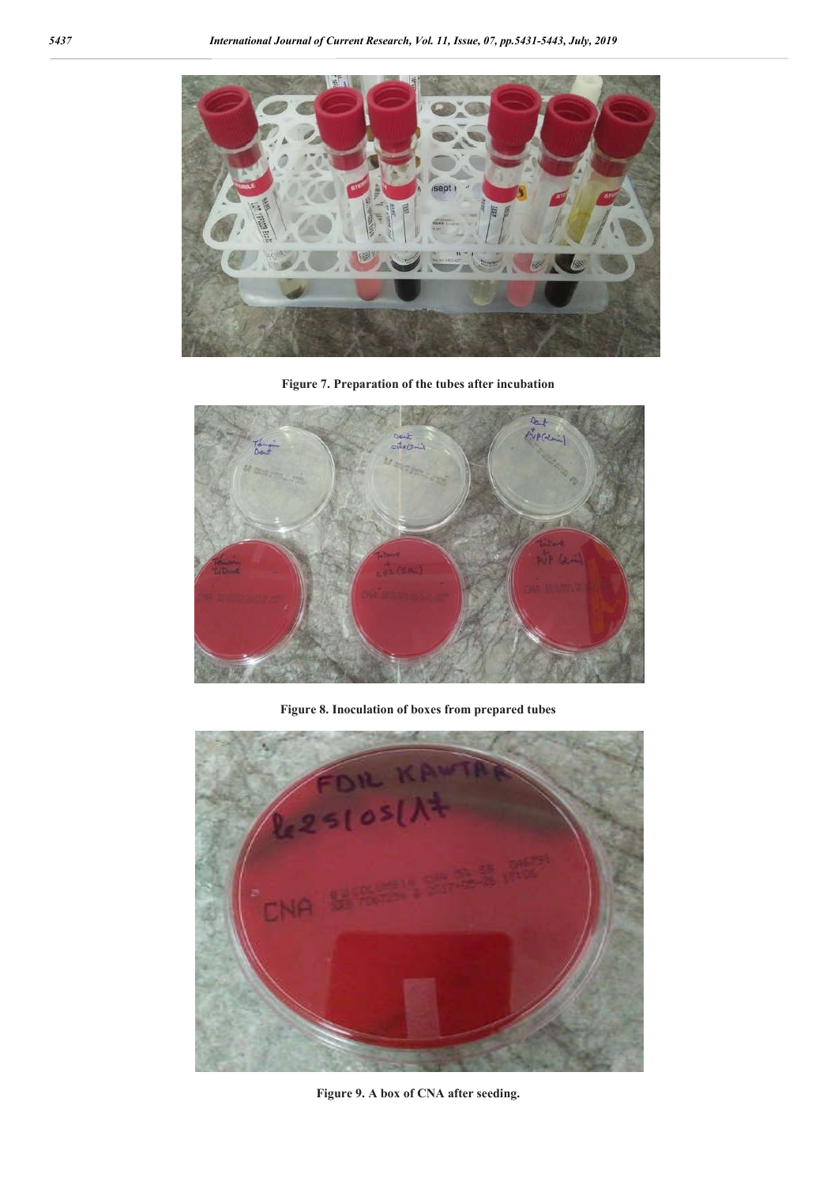

**Figure 7. Preparation of the tubes after incubation**



**Figure 8. Inoculation of boxes from prepared tubes**



**Figure 9. A box of CNA after seeding.**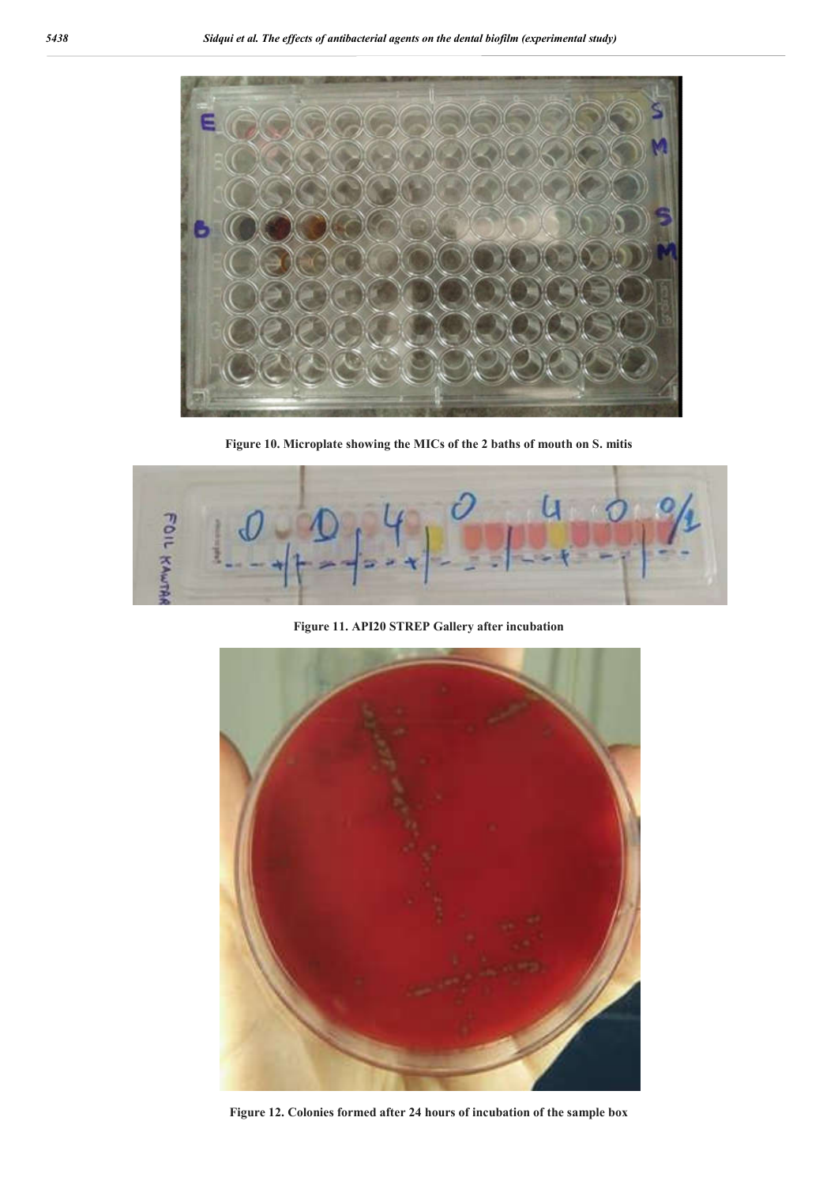

**Figure 10. Microplate showing the MICs of the 2 baths of mouth on S. mitis**



**Figure 11. API20 STREP Gallery after incubation**



**Figure 12. Colonies formed after 24 hours of incubation of the sample box**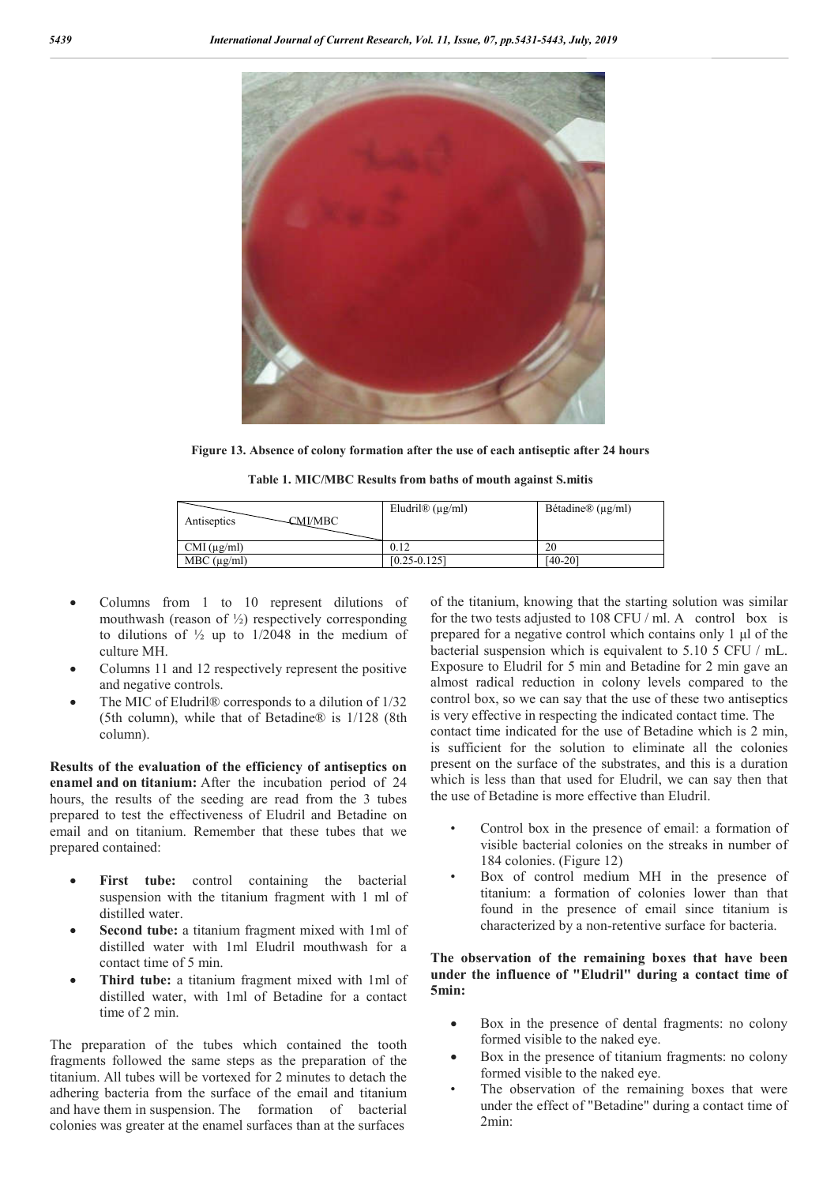

**Figure 13. Absence of colony formation after the use of each antiseptic after 24 hours**

| <b>CMI/MBC</b><br>Antiseptics | Eludril $\mathcal{D}(\mu\text{g/ml})$ | Bétadine® ( $\mu$ g/ml) |
|-------------------------------|---------------------------------------|-------------------------|
| $CMI$ ( $\mu$ g/ml)           | 0.12                                  | 20                      |
| MBC (µg/ml)                   | $[0.25 - 0.125]$                      | [40-20]                 |

- Columns from 1 to 10 represent dilutions of mouthwash (reason of  $\frac{1}{2}$ ) respectively corresponding to dilutions of  $\frac{1}{2}$  up to 1/2048 in the medium of culture MH.
- Columns 11 and 12 respectively represent the positive and negative controls.
- The MIC of Eludril® corresponds to a dilution of 1/32 (5th column), while that of Betadine® is 1/128 (8th column).

**Results of the evaluation of the efficiency of antiseptics on enamel and on titanium:** After the incubation period of 24 hours, the results of the seeding are read from the 3 tubes prepared to test the effectiveness of Eludril and Betadine on email and on titanium. Remember that these tubes that we prepared contained:

- First tube: control containing the bacterial suspension with the titanium fragment with 1 ml of distilled water.
- **Second tube:** a titanium fragment mixed with 1ml of distilled water with 1ml Eludril mouthwash for a contact time of 5 min.
- **Third tube:** a titanium fragment mixed with 1ml of distilled water, with 1ml of Betadine for a contact time of 2 min.

The preparation of the tubes which contained the tooth fragments followed the same steps as the preparation of the titanium. All tubes will be vortexed for 2 minutes to detach the adhering bacteria from the surface of the email and titanium and have them in suspension. The formation of bacterial colonies was greater at the enamel surfaces than at the surfaces

of the titanium, knowing that the starting solution was similar for the two tests adjusted to 108 CFU / ml. A control box is prepared for a negative control which contains only 1 μl of the bacterial suspension which is equivalent to 5.10 5 CFU / mL. Exposure to Eludril for 5 min and Betadine for 2 min gave an almost radical reduction in colony levels compared to the control box, so we can say that the use of these two antiseptics is very effective in respecting the indicated contact time. The contact time indicated for the use of Betadine which is 2 min, is sufficient for the solution to eliminate all the colonies present on the surface of the substrates, and this is a duration which is less than that used for Eludril, we can say then that the use of Betadine is more effective than Eludril.

- Control box in the presence of email: a formation of visible bacterial colonies on the streaks in number of 184 colonies. (Figure 12)
- Box of control medium MH in the presence of titanium: a formation of colonies lower than that found in the presence of email since titanium is characterized by a non-retentive surface for bacteria.

**The observation of the remaining boxes that have been under the influence of "Eludril" during a contact time of 5min:** 

- Box in the presence of dental fragments: no colony formed visible to the naked eye.
- Box in the presence of titanium fragments: no colony formed visible to the naked eye.
- The observation of the remaining boxes that were under the effect of "Betadine" during a contact time of 2min: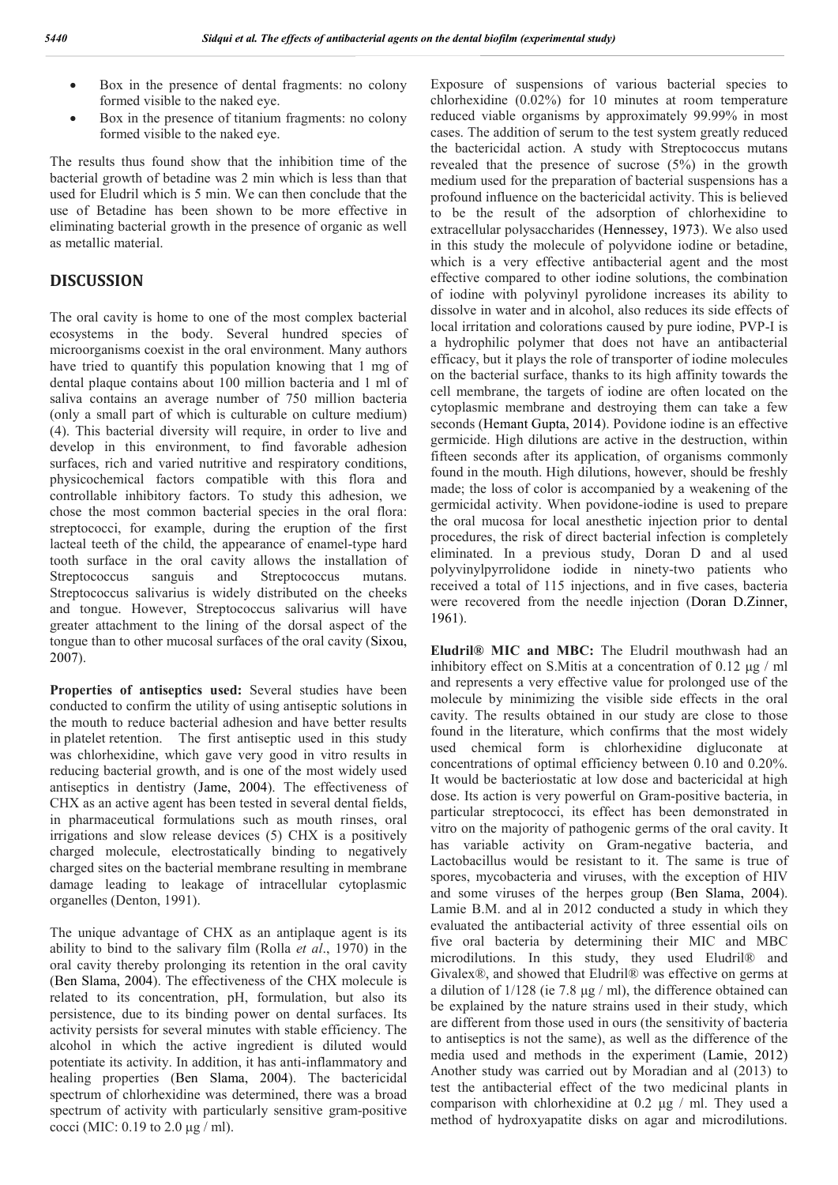- Box in the presence of dental fragments: no colony formed visible to the naked eye.
- Box in the presence of titanium fragments: no colony formed visible to the naked eye.

The results thus found show that the inhibition time of the bacterial growth of betadine was 2 min which is less than that used for Eludril which is 5 min. We can then conclude that the use of Betadine has been shown to be more effective in eliminating bacterial growth in the presence of organic as well as metallic material.

## **DISCUSSION**

The oral cavity is home to one of the most complex bacterial ecosystems in the body. Several hundred species of microorganisms coexist in the oral environment. Many authors have tried to quantify this population knowing that 1 mg of dental plaque contains about 100 million bacteria and 1 ml of saliva contains an average number of 750 million bacteria (only a small part of which is culturable on culture medium) (4). This bacterial diversity will require, in order to live and develop in this environment, to find favorable adhesion surfaces, rich and varied nutritive and respiratory conditions, physicochemical factors compatible with this flora and controllable inhibitory factors. To study this adhesion, we chose the most common bacterial species in the oral flora: streptococci, for example, during the eruption of the first lacteal teeth of the child, the appearance of enamel-type hard tooth surface in the oral cavity allows the installation of Streptococcus sanguis and Streptococcus mutans. Streptococcus salivarius is widely distributed on the cheeks and tongue. However, Streptococcus salivarius will have greater attachment to the lining of the dorsal aspect of the tongue than to other mucosal surfaces of the oral cavity (Sixou, 2007).

**Properties of antiseptics used:** Several studies have been conducted to confirm the utility of using antiseptic solutions in the mouth to reduce bacterial adhesion and have better results in platelet retention. The first antiseptic used in this study was chlorhexidine, which gave very good in vitro results in reducing bacterial growth, and is one of the most widely used antiseptics in dentistry (Jame, 2004). The effectiveness of CHX as an active agent has been tested in several dental fields, in pharmaceutical formulations such as mouth rinses, oral irrigations and slow release devices (5) CHX is a positively charged molecule, electrostatically binding to negatively charged sites on the bacterial membrane resulting in membrane damage leading to leakage of intracellular cytoplasmic organelles (Denton, 1991).

The unique advantage of CHX as an antiplaque agent is its ability to bind to the salivary film (Rolla *et al*., 1970) in the oral cavity thereby prolonging its retention in the oral cavity (Ben Slama, 2004). The effectiveness of the CHX molecule is related to its concentration, pH, formulation, but also its persistence, due to its binding power on dental surfaces. Its activity persists for several minutes with stable efficiency. The alcohol in which the active ingredient is diluted would potentiate its activity. In addition, it has anti-inflammatory and healing properties (Ben Slama, 2004). The bactericidal spectrum of chlorhexidine was determined, there was a broad spectrum of activity with particularly sensitive gram-positive cocci (MIC: 0.19 to 2.0 μg / ml).

Exposure of suspensions of various bacterial species to chlorhexidine (0.02%) for 10 minutes at room temperature reduced viable organisms by approximately 99.99% in most cases. The addition of serum to the test system greatly reduced the bactericidal action. A study with Streptococcus mutans revealed that the presence of sucrose (5%) in the growth medium used for the preparation of bacterial suspensions has a profound influence on the bactericidal activity. This is believed to be the result of the adsorption of chlorhexidine to extracellular polysaccharides (Hennessey, 1973). We also used in this study the molecule of polyvidone iodine or betadine, which is a very effective antibacterial agent and the most effective compared to other iodine solutions, the combination of iodine with polyvinyl pyrolidone increases its ability to dissolve in water and in alcohol, also reduces its side effects of local irritation and colorations caused by pure iodine, PVP-I is a hydrophilic polymer that does not have an antibacterial efficacy, but it plays the role of transporter of iodine molecules on the bacterial surface, thanks to its high affinity towards the cell membrane, the targets of iodine are often located on the cytoplasmic membrane and destroying them can take a few seconds (Hemant Gupta, 2014). Povidone iodine is an effective germicide. High dilutions are active in the destruction, within fifteen seconds after its application, of organisms commonly found in the mouth. High dilutions, however, should be freshly made; the loss of color is accompanied by a weakening of the germicidal activity. When povidone-iodine is used to prepare the oral mucosa for local anesthetic injection prior to dental procedures, the risk of direct bacterial infection is completely eliminated. In a previous study, Doran D and al used polyvinylpyrrolidone iodide in ninety-two patients who received a total of 115 injections, and in five cases, bacteria were recovered from the needle injection (Doran D.Zinner, 1961).

**Eludril® MIC and MBC:** The Eludril mouthwash had an inhibitory effect on S.Mitis at a concentration of 0.12 μg / ml and represents a very effective value for prolonged use of the molecule by minimizing the visible side effects in the oral cavity. The results obtained in our study are close to those found in the literature, which confirms that the most widely used chemical form is chlorhexidine digluconate at concentrations of optimal efficiency between 0.10 and 0.20%. It would be bacteriostatic at low dose and bactericidal at high dose. Its action is very powerful on Gram-positive bacteria, in particular streptococci, its effect has been demonstrated in vitro on the majority of pathogenic germs of the oral cavity. It has variable activity on Gram-negative bacteria, and Lactobacillus would be resistant to it. The same is true of spores, mycobacteria and viruses, with the exception of HIV and some viruses of the herpes group (Ben Slama, 2004). Lamie B.M. and al in 2012 conducted a study in which they evaluated the antibacterial activity of three essential oils on five oral bacteria by determining their MIC and MBC microdilutions. In this study, they used Eludril® and Givalex®, and showed that Eludril® was effective on germs at a dilution of  $1/128$  (ie 7.8 μg / ml), the difference obtained can be explained by the nature strains used in their study, which are different from those used in ours (the sensitivity of bacteria to antiseptics is not the same), as well as the difference of the media used and methods in the experiment (Lamie, 2012) Another study was carried out by Moradian and al (2013) to test the antibacterial effect of the two medicinal plants in comparison with chlorhexidine at 0.2 μg / ml. They used a method of hydroxyapatite disks on agar and microdilutions.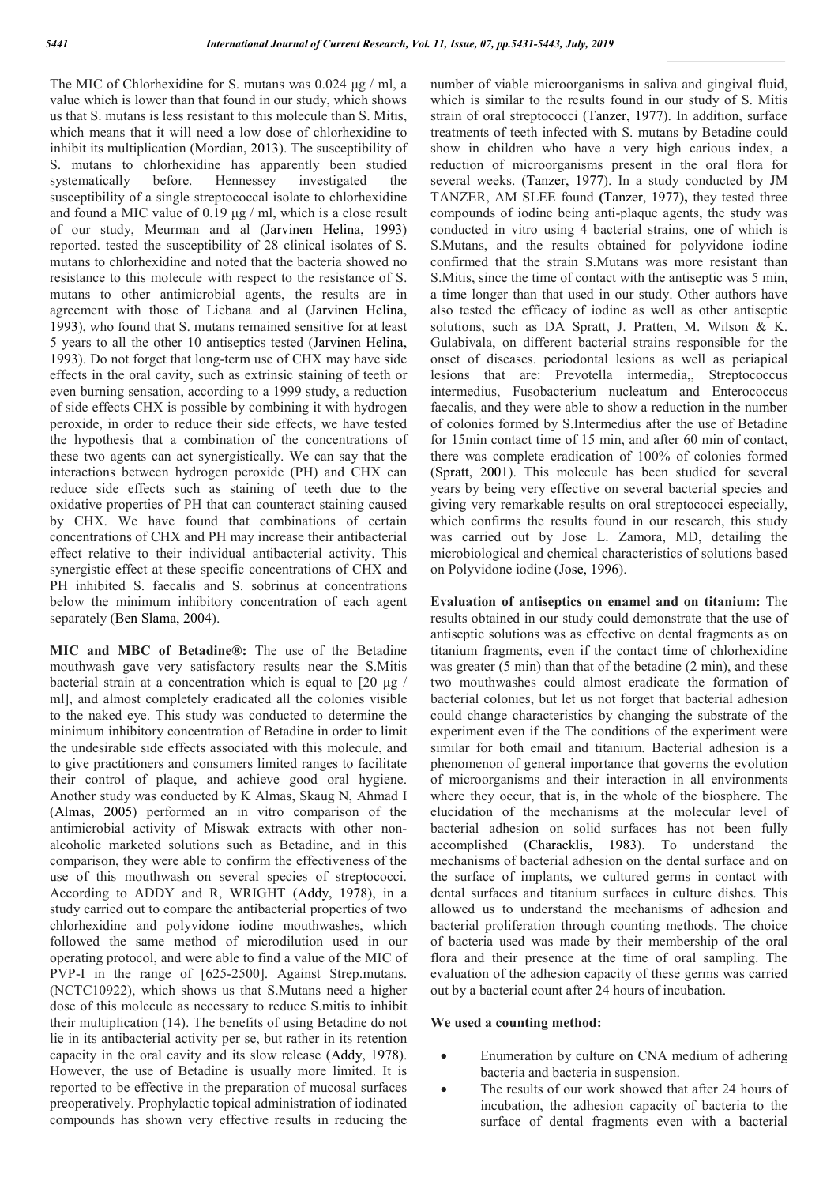The MIC of Chlorhexidine for S. mutans was 0.024 μg / ml, a value which is lower than that found in our study, which shows us that S. mutans is less resistant to this molecule than S. Mitis, which means that it will need a low dose of chlorhexidine to inhibit its multiplication (Mordian, 2013). The susceptibility of S. mutans to chlorhexidine has apparently been studied systematically before. Hennessey investigated the susceptibility of a single streptococcal isolate to chlorhexidine and found a MIC value of 0.19 μg / ml, which is a close result of our study, Meurman and al (Jarvinen Helina, 1993) reported. tested the susceptibility of 28 clinical isolates of S. mutans to chlorhexidine and noted that the bacteria showed no resistance to this molecule with respect to the resistance of S. mutans to other antimicrobial agents, the results are in agreement with those of Liebana and al (Jarvinen Helina, 1993), who found that S. mutans remained sensitive for at least 5 years to all the other 10 antiseptics tested (Jarvinen Helina, 1993). Do not forget that long-term use of CHX may have side effects in the oral cavity, such as extrinsic staining of teeth or even burning sensation, according to a 1999 study, a reduction of side effects CHX is possible by combining it with hydrogen peroxide, in order to reduce their side effects, we have tested the hypothesis that a combination of the concentrations of these two agents can act synergistically. We can say that the interactions between hydrogen peroxide (PH) and CHX can reduce side effects such as staining of teeth due to the oxidative properties of PH that can counteract staining caused by CHX. We have found that combinations of certain concentrations of CHX and PH may increase their antibacterial effect relative to their individual antibacterial activity. This synergistic effect at these specific concentrations of CHX and PH inhibited S. faecalis and S. sobrinus at concentrations below the minimum inhibitory concentration of each agent separately (Ben Slama, 2004).

**MIC and MBC of Betadine®:** The use of the Betadine mouthwash gave very satisfactory results near the S.Mitis bacterial strain at a concentration which is equal to [20 μg / ml], and almost completely eradicated all the colonies visible to the naked eye. This study was conducted to determine the minimum inhibitory concentration of Betadine in order to limit the undesirable side effects associated with this molecule, and to give practitioners and consumers limited ranges to facilitate their control of plaque, and achieve good oral hygiene. Another study was conducted by K Almas, Skaug N, Ahmad I (Almas, 2005) performed an in vitro comparison of the antimicrobial activity of Miswak extracts with other nonalcoholic marketed solutions such as Betadine, and in this comparison, they were able to confirm the effectiveness of the use of this mouthwash on several species of streptococci. According to ADDY and R, WRIGHT (Addy, 1978), in a study carried out to compare the antibacterial properties of two chlorhexidine and polyvidone iodine mouthwashes, which followed the same method of microdilution used in our operating protocol, and were able to find a value of the MIC of PVP-I in the range of [625-2500]. Against Strep.mutans. (NCTC10922), which shows us that S.Mutans need a higher dose of this molecule as necessary to reduce S.mitis to inhibit their multiplication (14). The benefits of using Betadine do not lie in its antibacterial activity per se, but rather in its retention capacity in the oral cavity and its slow release (Addy, 1978). However, the use of Betadine is usually more limited. It is reported to be effective in the preparation of mucosal surfaces preoperatively. Prophylactic topical administration of iodinated compounds has shown very effective results in reducing the number of viable microorganisms in saliva and gingival fluid, which is similar to the results found in our study of S. Mitis strain of oral streptococci (Tanzer, 1977). In addition, surface treatments of teeth infected with S. mutans by Betadine could show in children who have a very high carious index, a reduction of microorganisms present in the oral flora for several weeks. (Tanzer, 1977). In a study conducted by JM TANZER, AM SLEE found **(**Tanzer, 1977**),** they tested three compounds of iodine being anti-plaque agents, the study was conducted in vitro using 4 bacterial strains, one of which is S.Mutans, and the results obtained for polyvidone iodine confirmed that the strain S.Mutans was more resistant than S.Mitis, since the time of contact with the antiseptic was 5 min, a time longer than that used in our study. Other authors have also tested the efficacy of iodine as well as other antiseptic solutions, such as DA Spratt, J. Pratten, M. Wilson & K. Gulabivala, on different bacterial strains responsible for the onset of diseases. periodontal lesions as well as periapical lesions that are: Prevotella intermedia,, Streptococcus intermedius, Fusobacterium nucleatum and Enterococcus faecalis, and they were able to show a reduction in the number of colonies formed by S.Intermedius after the use of Betadine for 15min contact time of 15 min, and after 60 min of contact, there was complete eradication of 100% of colonies formed (Spratt, 2001). This molecule has been studied for several years by being very effective on several bacterial species and giving very remarkable results on oral streptococci especially, which confirms the results found in our research, this study was carried out by Jose L. Zamora, MD, detailing the microbiological and chemical characteristics of solutions based on Polyvidone iodine (Jose, 1996).

**Evaluation of antiseptics on enamel and on titanium:** The results obtained in our study could demonstrate that the use of antiseptic solutions was as effective on dental fragments as on titanium fragments, even if the contact time of chlorhexidine was greater (5 min) than that of the betadine (2 min), and these two mouthwashes could almost eradicate the formation of bacterial colonies, but let us not forget that bacterial adhesion could change characteristics by changing the substrate of the experiment even if the The conditions of the experiment were similar for both email and titanium. Bacterial adhesion is a phenomenon of general importance that governs the evolution of microorganisms and their interaction in all environments where they occur, that is, in the whole of the biosphere. The elucidation of the mechanisms at the molecular level of bacterial adhesion on solid surfaces has not been fully accomplished (Characklis, 1983). To understand the mechanisms of bacterial adhesion on the dental surface and on the surface of implants, we cultured germs in contact with dental surfaces and titanium surfaces in culture dishes. This allowed us to understand the mechanisms of adhesion and bacterial proliferation through counting methods. The choice of bacteria used was made by their membership of the oral flora and their presence at the time of oral sampling. The evaluation of the adhesion capacity of these germs was carried out by a bacterial count after 24 hours of incubation.

### **We used a counting method:**

- Enumeration by culture on CNA medium of adhering bacteria and bacteria in suspension.
- The results of our work showed that after 24 hours of incubation, the adhesion capacity of bacteria to the surface of dental fragments even with a bacterial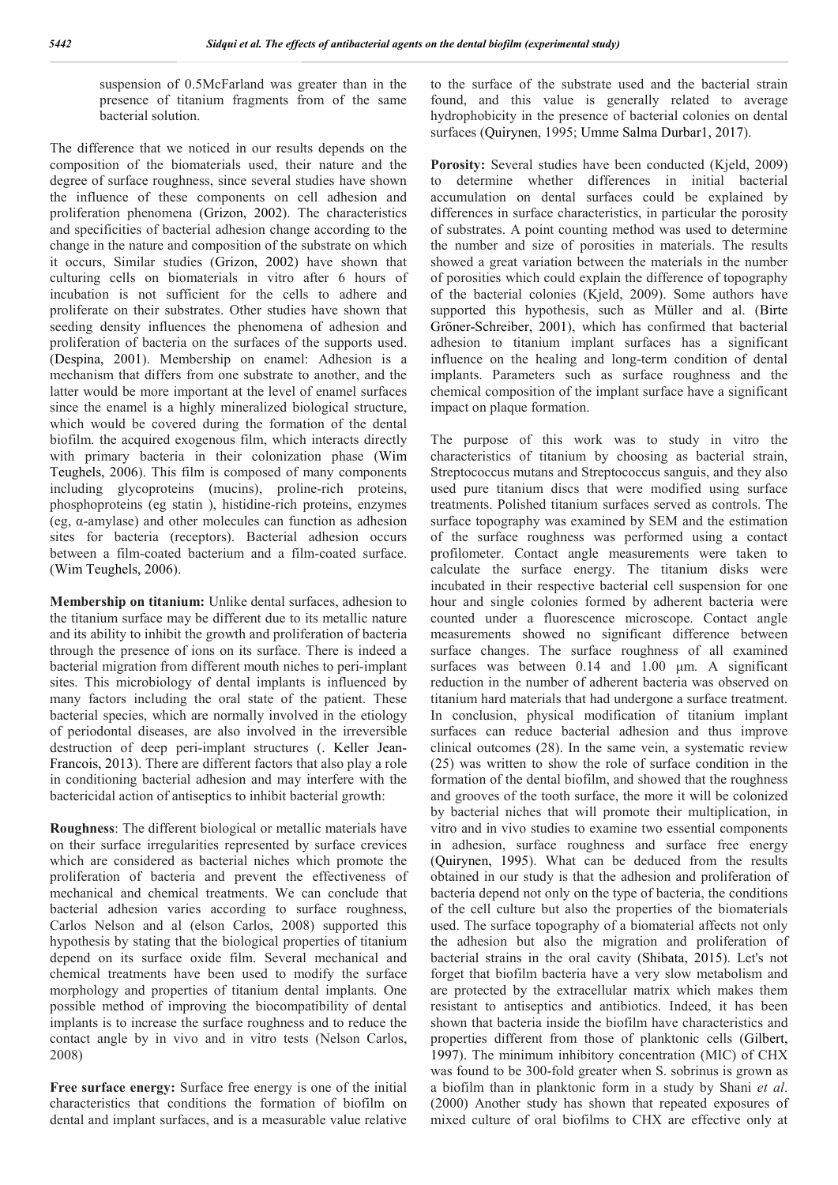suspension of 0.5McFarland was greater than in the presence of titanium fragments from of the same bacterial solution.

The difference that we noticed in our results depends on the composition of the biomaterials used, their nature and the degree of surface roughness, since several studies have shown the influence of these components on cell adhesion and proliferation phenomena (Grizon, 2002). The characteristics and specificities of bacterial adhesion change according to the change in the nature and composition of the substrate on which it occurs, Similar studies (Grizon, 2002) have shown that culturing cells on biomaterials in vitro after 6 hours of incubation is not sufficient for the cells to adhere and proliferate on their substrates. Other studies have shown that seeding density influences the phenomena of adhesion and proliferation of bacteria on the surfaces of the supports used. (Despina, 2001). Membership on enamel: Adhesion is a mechanism that differs from one substrate to another, and the latter would be more important at the level of enamel surfaces since the enamel is a highly mineralized biological structure, which would be covered during the formation of the dental biofilm. the acquired exogenous film, which interacts directly with primary bacteria in their colonization phase (Wim Teughels, 2006). This film is composed of many components including glycoproteins (mucins), proline-rich proteins, phosphoproteins (eg statin ), histidine-rich proteins, enzymes (eg, α-amylase) and other molecules can function as adhesion sites for bacteria (receptors). Bacterial adhesion occurs between a film-coated bacterium and a film-coated surface. (Wim Teughels, 2006).

**Membership on titanium:** Unlike dental surfaces, adhesion to the titanium surface may be different due to its metallic nature and its ability to inhibit the growth and proliferation of bacteria through the presence of ions on its surface. There is indeed a bacterial migration from different mouth niches to peri-implant sites. This microbiology of dental implants is influenced by many factors including the oral state of the patient. These bacterial species, which are normally involved in the etiology of periodontal diseases, are also involved in the irreversible destruction of deep peri-implant structures (. Keller Jean-Francois, 2013). There are different factors that also play a role in conditioning bacterial adhesion and may interfere with the bactericidal action of antiseptics to inhibit bacterial growth:

**Roughness**: The different biological or metallic materials have on their surface irregularities represented by surface crevices which are considered as bacterial niches which promote the proliferation of bacteria and prevent the effectiveness of mechanical and chemical treatments. We can conclude that bacterial adhesion varies according to surface roughness, Carlos Nelson and al (elson Carlos, 2008) supported this hypothesis by stating that the biological properties of titanium depend on its surface oxide film. Several mechanical and chemical treatments have been used to modify the surface morphology and properties of titanium dental implants. One possible method of improving the biocompatibility of dental implants is to increase the surface roughness and to reduce the contact angle by in vivo and in vitro tests (Nelson Carlos, 2008)

**Free surface energy:** Surface free energy is one of the initial characteristics that conditions the formation of biofilm on dental and implant surfaces, and is a measurable value relative to the surface of the substrate used and the bacterial strain found, and this value is generally related to average hydrophobicity in the presence of bacterial colonies on dental surfaces (Quirynen, 1995; Umme Salma Durbar1, 2017).

**Porosity:** Several studies have been conducted (Kjeld, 2009) to determine whether differences in initial bacterial accumulation on dental surfaces could be explained by differences in surface characteristics, in particular the porosity of substrates. A point counting method was used to determine the number and size of porosities in materials. The results showed a great variation between the materials in the number of porosities which could explain the difference of topography of the bacterial colonies (Kjeld, 2009). Some authors have supported this hypothesis, such as Müller and al. (Birte Gröner-Schreiber, 2001), which has confirmed that bacterial adhesion to titanium implant surfaces has a significant influence on the healing and long-term condition of dental implants. Parameters such as surface roughness and the chemical composition of the implant surface have a significant impact on plaque formation.

The purpose of this work was to study in vitro the characteristics of titanium by choosing as bacterial strain, Streptococcus mutans and Streptococcus sanguis, and they also used pure titanium discs that were modified using surface treatments. Polished titanium surfaces served as controls. The surface topography was examined by SEM and the estimation of the surface roughness was performed using a contact profilometer. Contact angle measurements were taken to calculate the surface energy. The titanium disks were incubated in their respective bacterial cell suspension for one hour and single colonies formed by adherent bacteria were counted under a fluorescence microscope. Contact angle measurements showed no significant difference between surface changes. The surface roughness of all examined surfaces was between 0.14 and 1.00 μm. A significant reduction in the number of adherent bacteria was observed on titanium hard materials that had undergone a surface treatment. In conclusion, physical modification of titanium implant surfaces can reduce bacterial adhesion and thus improve clinical outcomes (28). In the same vein, a systematic review (25) was written to show the role of surface condition in the formation of the dental biofilm, and showed that the roughness and grooves of the tooth surface, the more it will be colonized by bacterial niches that will promote their multiplication, in vitro and in vivo studies to examine two essential components in adhesion, surface roughness and surface free energy (Quirynen, 1995). What can be deduced from the results obtained in our study is that the adhesion and proliferation of bacteria depend not only on the type of bacteria, the conditions of the cell culture but also the properties of the biomaterials used. The surface topography of a biomaterial affects not only the adhesion but also the migration and proliferation of bacterial strains in the oral cavity (Shibata, 2015). Let's not forget that biofilm bacteria have a very slow metabolism and are protected by the extracellular matrix which makes them resistant to antiseptics and antibiotics. Indeed, it has been shown that bacteria inside the biofilm have characteristics and properties different from those of planktonic cells (Gilbert, 1997). The minimum inhibitory concentration (MIC) of CHX was found to be 300-fold greater when S. sobrinus is grown as a biofilm than in planktonic form in a study by Shani *et al*. (2000) Another study has shown that repeated exposures of mixed culture of oral biofilms to CHX are effective only at